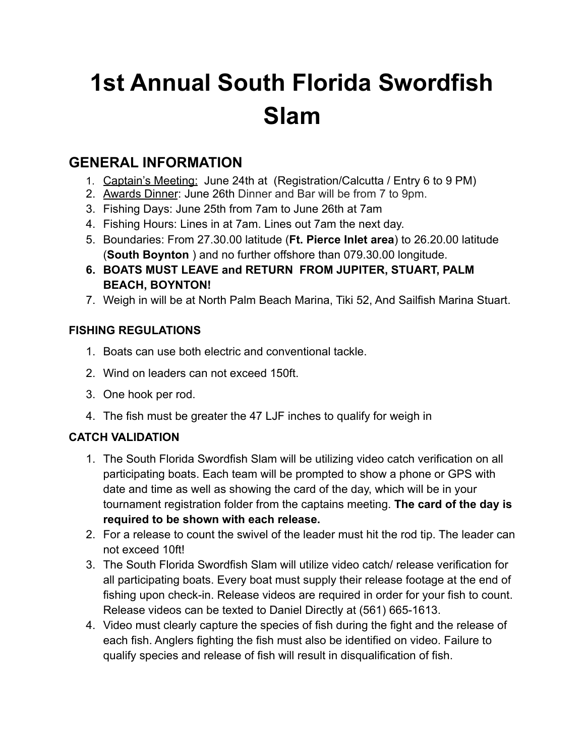# **1st Annual South Florida Swordfish Slam**

## **GENERAL INFORMATION**

- 1. Captain's Meeting: June 24th at (Registration/Calcutta / Entry 6 to 9 PM)
- 2. Awards Dinner: June 26th Dinner and Bar will be from 7 to 9pm.
- 3. Fishing Days: June 25th from 7am to June 26th at 7am
- 4. Fishing Hours: Lines in at 7am. Lines out 7am the next day.
- 5. Boundaries: From 27.30.00 latitude (**Ft. Pierce Inlet area**) to 26.20.00 latitude (**South Boynton** ) and no further offshore than 079.30.00 longitude.
- **6. BOATS MUST LEAVE and RETURN FROM JUPITER, STUART, PALM BEACH, BOYNTON!**
- 7. Weigh in will be at North Palm Beach Marina, Tiki 52, And Sailfish Marina Stuart.

#### **FISHING REGULATIONS**

- 1. Boats can use both electric and conventional tackle.
- 2. Wind on leaders can not exceed 150ft.
- 3. One hook per rod.
- 4. The fish must be greater the 47 LJF inches to qualify for weigh in

### **CATCH VALIDATION**

- 1. The South Florida Swordfish Slam will be utilizing video catch verification on all participating boats. Each team will be prompted to show a phone or GPS with date and time as well as showing the card of the day, which will be in your tournament registration folder from the captains meeting. **The card of the day is required to be shown with each release.**
- 2. For a release to count the swivel of the leader must hit the rod tip. The leader can not exceed 10ft!
- 3. The South Florida Swordfish Slam will utilize video catch/ release verification for all participating boats. Every boat must supply their release footage at the end of fishing upon check-in. Release videos are required in order for your fish to count. Release videos can be texted to Daniel Directly at (561) 665-1613.
- 4. Video must clearly capture the species of fish during the fight and the release of each fish. Anglers fighting the fish must also be identified on video. Failure to qualify species and release of fish will result in disqualification of fish.